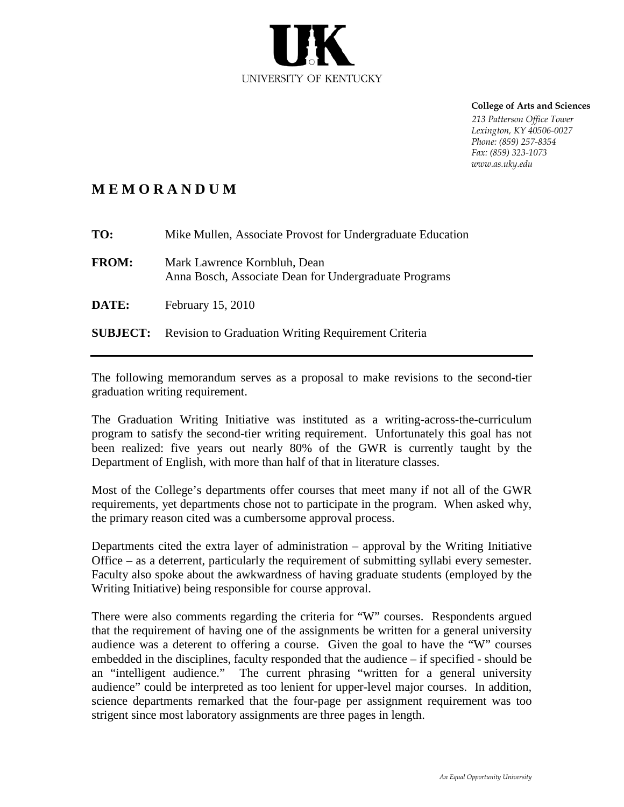

 **College of Arts and Sciences**

 *213 Patterson Office Tower Lexington, KY 40506-0027 Phone: (859) 257-8354 Fax: (859) 323-1073 www.as.uky.edu*

## **M E M O R A N D U M**

| TO:          | Mike Mullen, Associate Provost for Undergraduate Education                            |
|--------------|---------------------------------------------------------------------------------------|
| <b>FROM:</b> | Mark Lawrence Kornbluh, Dean<br>Anna Bosch, Associate Dean for Undergraduate Programs |
| <b>DATE:</b> | February 15, 2010                                                                     |
|              | <b>SUBJECT:</b> Revision to Graduation Writing Requirement Criteria                   |

The following memorandum serves as a proposal to make revisions to the second-tier graduation writing requirement.

The Graduation Writing Initiative was instituted as a writing-across-the-curriculum program to satisfy the second-tier writing requirement. Unfortunately this goal has not been realized: five years out nearly 80% of the GWR is currently taught by the Department of English, with more than half of that in literature classes.

Most of the College's departments offer courses that meet many if not all of the GWR requirements, yet departments chose not to participate in the program. When asked why, the primary reason cited was a cumbersome approval process.

Departments cited the extra layer of administration – approval by the Writing Initiative Office – as a deterrent, particularly the requirement of submitting syllabi every semester. Faculty also spoke about the awkwardness of having graduate students (employed by the Writing Initiative) being responsible for course approval.

There were also comments regarding the criteria for "W" courses. Respondents argued that the requirement of having one of the assignments be written for a general university audience was a deterent to offering a course. Given the goal to have the "W" courses embedded in the disciplines, faculty responded that the audience – if specified - should be an "intelligent audience." The current phrasing "written for a general university audience" could be interpreted as too lenient for upper-level major courses. In addition, science departments remarked that the four-page per assignment requirement was too strigent since most laboratory assignments are three pages in length.